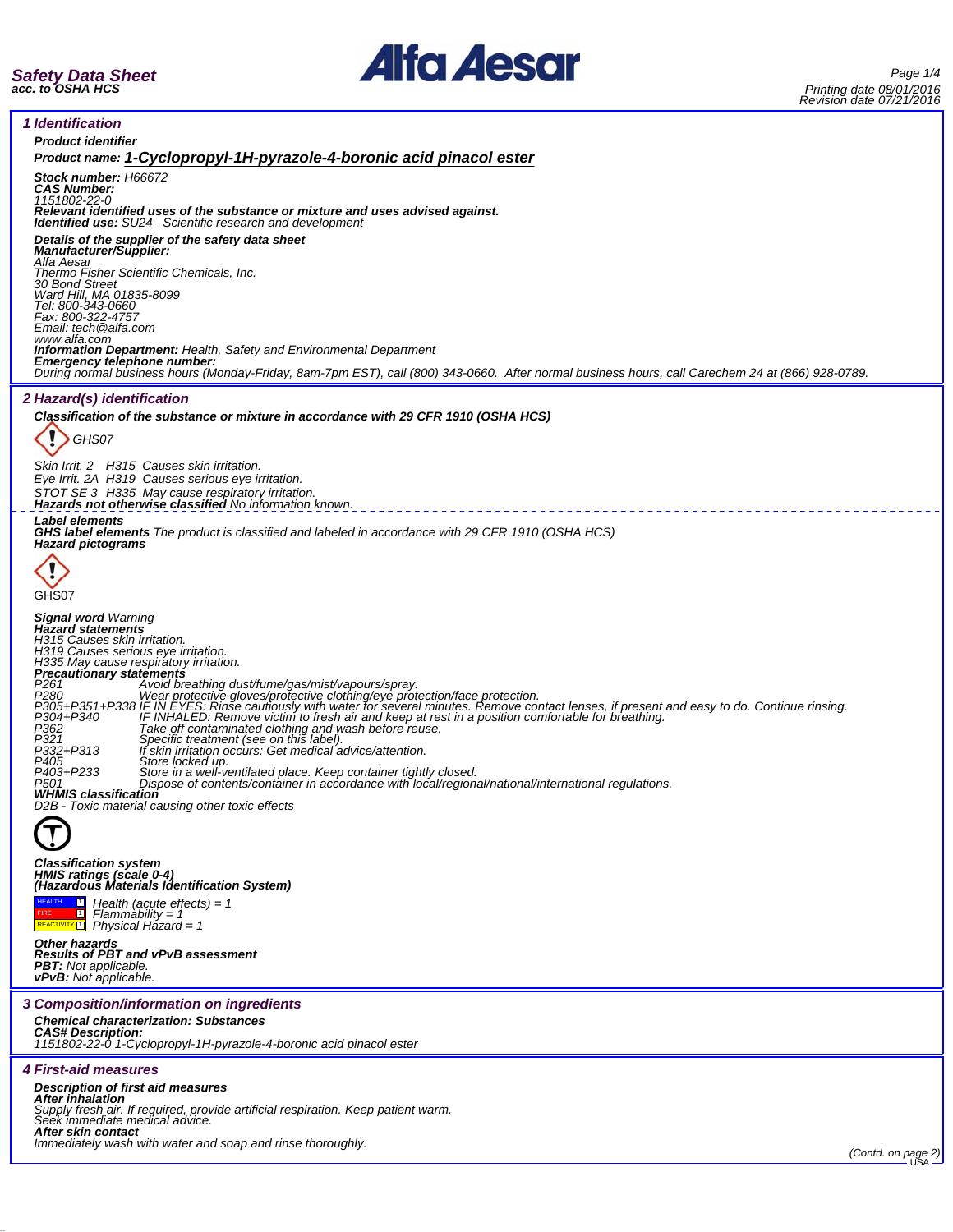

*1 Identification*



| <b>Product identifier</b>                                                                                                                                                                                                                                                                                                                                                                                                                                                                                         |  |  |  |
|-------------------------------------------------------------------------------------------------------------------------------------------------------------------------------------------------------------------------------------------------------------------------------------------------------------------------------------------------------------------------------------------------------------------------------------------------------------------------------------------------------------------|--|--|--|
| Product name: 1-Cyclopropyl-1H-pyrazole-4-boronic acid pinacol ester<br>Stock number: H66672                                                                                                                                                                                                                                                                                                                                                                                                                      |  |  |  |
| <b>CAS Number:</b><br>1151802-22-0                                                                                                                                                                                                                                                                                                                                                                                                                                                                                |  |  |  |
| Relevant identified uses of the substance or mixture and uses advised against.<br><b>Identified use:</b> SU24 Scientific research and development                                                                                                                                                                                                                                                                                                                                                                 |  |  |  |
| Details of the supplier of the safety data sheet<br><b>Manufacturer/Supplier:</b>                                                                                                                                                                                                                                                                                                                                                                                                                                 |  |  |  |
| Alfa Aesar<br>Thermo Fisher Scientific Chemicals, Inc.<br>30 Bond Street                                                                                                                                                                                                                                                                                                                                                                                                                                          |  |  |  |
| Ward Hill, MA 01835-8099                                                                                                                                                                                                                                                                                                                                                                                                                                                                                          |  |  |  |
| Tel: 800-343-0660<br>Fax: 800-322-4757<br>Email: tech @alfa.com                                                                                                                                                                                                                                                                                                                                                                                                                                                   |  |  |  |
| www.alfa.com<br><b>Information Department:</b> Health, Safety and Environmental Department                                                                                                                                                                                                                                                                                                                                                                                                                        |  |  |  |
| Emergency telephone number:<br>During normal business hours (Monday-Friday, 8am-7pm EST), call (800) 343-0660. After normal business hours, call Carechem 24 at (866) 928-0789.                                                                                                                                                                                                                                                                                                                                   |  |  |  |
| <i><b>2 Hazard(s) identification</b></i>                                                                                                                                                                                                                                                                                                                                                                                                                                                                          |  |  |  |
| Classification of the substance or mixture in accordance with 29 CFR 1910 (OSHA HCS)                                                                                                                                                                                                                                                                                                                                                                                                                              |  |  |  |
| GHS07                                                                                                                                                                                                                                                                                                                                                                                                                                                                                                             |  |  |  |
| Skin Irrit. 2 H315 Causes skin irritation.<br>Eye Irrit. 2A H319 Causes serious eye irritation.                                                                                                                                                                                                                                                                                                                                                                                                                   |  |  |  |
| STOT SE 3 H335 May cause respiratory irritation.<br><b>Hazards not otherwise classified No information known.</b>                                                                                                                                                                                                                                                                                                                                                                                                 |  |  |  |
| <b>Label elements</b><br><b>GHS label elements</b> The product is classified and labeled in accordance with 29 CFR 1910 (OSHA HCS)<br><b>Hazard pictograms</b>                                                                                                                                                                                                                                                                                                                                                    |  |  |  |
|                                                                                                                                                                                                                                                                                                                                                                                                                                                                                                                   |  |  |  |
| GHS07                                                                                                                                                                                                                                                                                                                                                                                                                                                                                                             |  |  |  |
| <b>Signal word Warning</b><br><b>Hazard statements</b><br>H315 Causes skin irritation.<br>H319 Causes serious eye irritation.<br>H335 May cause respiratory irritation.<br>Precautionary statements<br>P <sub>261</sub><br>Avoid breathing dust/fume/gas/mist/vapours/spray.<br>The Contribution of the Contribution of the Contribution of the Contribution of the Contribution of the Contri<br>P305+P351+P338 IF IN EYES: Rinse cautiously with water for several minutes. Remove contact lenses, if present a |  |  |  |
| Take off contaminated clothing and wash before reuse.<br>Specific treatment (see on this label).<br>If skin irritation occurs: Get medical advice/attention.<br>P362<br>P321<br>P332+P313<br>P405<br>Store locked up.<br>P403+P233<br>Store in a well-ventilated place. Keep container tightly closed.<br>Dispose of contents/container in accordance with local/regional/national/international regulations.<br>P501                                                                                             |  |  |  |
| <b>WHMIS classification</b><br>D2B - Toxic material causing other toxic effects                                                                                                                                                                                                                                                                                                                                                                                                                                   |  |  |  |
| Œ                                                                                                                                                                                                                                                                                                                                                                                                                                                                                                                 |  |  |  |
| <b>Classification system</b><br>HMIS ratings (scale 0-4)<br>(Hazardous Materials Identification System)                                                                                                                                                                                                                                                                                                                                                                                                           |  |  |  |
| <b>HEALTH</b><br>$\Box$ Health (acute effects) = 1<br>$Flammablity = 1$<br>REACTIVITY <sup>[1]</sup><br>Physical Házard = 1                                                                                                                                                                                                                                                                                                                                                                                       |  |  |  |
| <b>Other hazards</b><br><b>Results of PBT and vPvB assessment</b>                                                                                                                                                                                                                                                                                                                                                                                                                                                 |  |  |  |
| <b>PBT:</b> Not applicable.<br><b>vPvB:</b> Not applicable.                                                                                                                                                                                                                                                                                                                                                                                                                                                       |  |  |  |
| 3 Composition/information on ingredients                                                                                                                                                                                                                                                                                                                                                                                                                                                                          |  |  |  |
| <b>Chemical characterization: Substances</b><br><b>CAS# Description:</b><br>1151802-22-0 1-Cyclopropyl-1H-pyrazole-4-boronic acid pinacol ester                                                                                                                                                                                                                                                                                                                                                                   |  |  |  |
| <i><b>4 First-aid measures</b></i>                                                                                                                                                                                                                                                                                                                                                                                                                                                                                |  |  |  |
| <b>Description of first aid measures</b><br>After inhalation                                                                                                                                                                                                                                                                                                                                                                                                                                                      |  |  |  |
| Supply fresh air. If required, provide artificial respiration. Keep patient warm.<br>Seek immediate medical advice.                                                                                                                                                                                                                                                                                                                                                                                               |  |  |  |
| After skin contact<br>Immediately wash with water and soap and rinse thoroughly.<br>(Contd. on page 2)                                                                                                                                                                                                                                                                                                                                                                                                            |  |  |  |
|                                                                                                                                                                                                                                                                                                                                                                                                                                                                                                                   |  |  |  |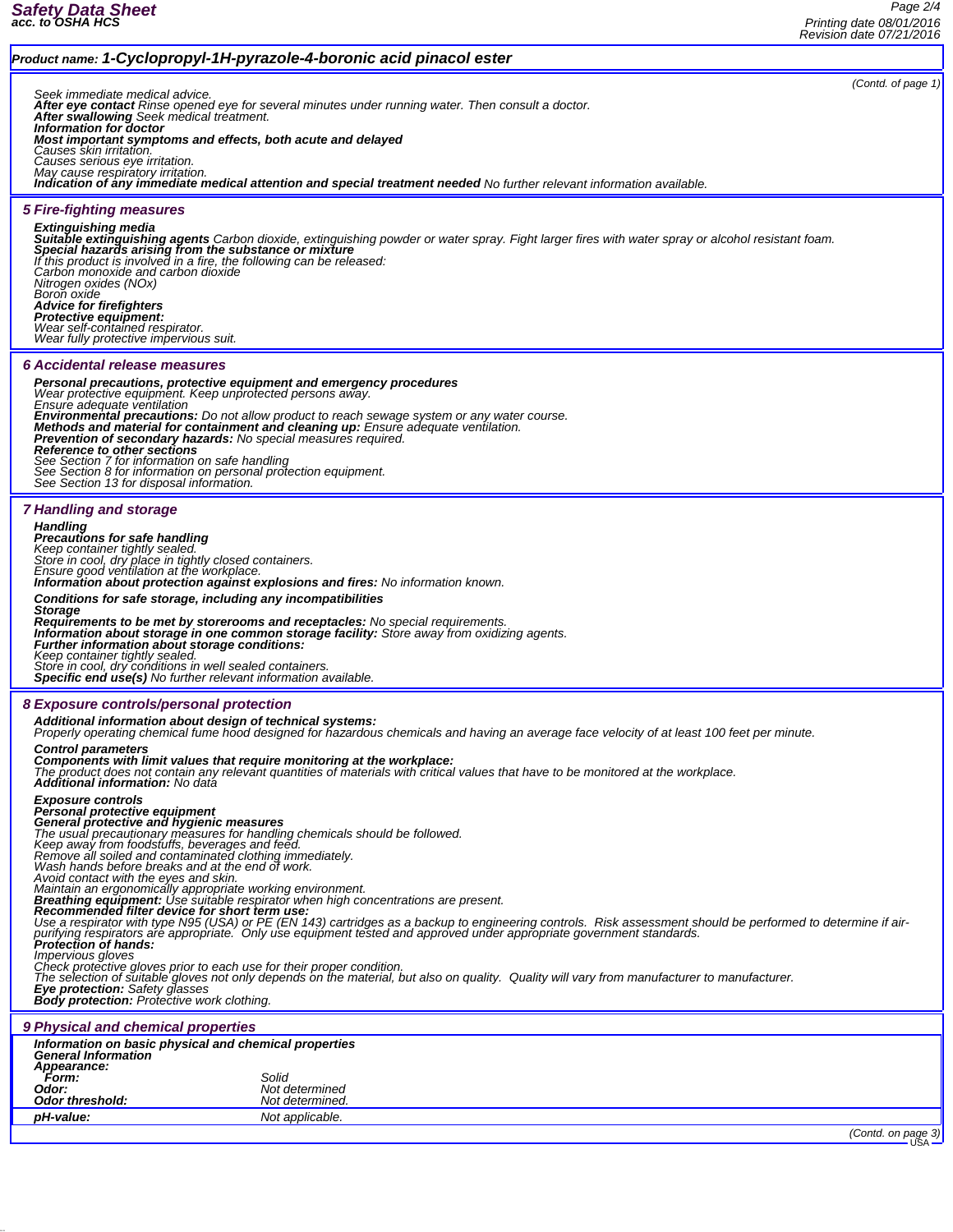## *Safety Data Sheet acc. to OSHA HCS*

## *Product name: 1-Cyclopropyl-1H-pyrazole-4-boronic acid pinacol ester (Contd. of page 1) Seek immediate medical advice. After eye contact Rinse opened eye for several minutes under running water. Then consult a doctor. After swallowing Seek medical treatment. Information for doctor Most important symptoms and effects, both acute and delayed Causes skin irritation. Causes serious eye irritation. May cause respiratory irritation. Indication of any immediate medical attention and special treatment needed No further relevant information available. 5 Fire-fighting measures* **Extinguishing media**<br>**Suitable extinguishing agents** Carbon dioxide, extinguishing powder or water spray. Fight larger fires with water spray or alcohol resistant foam.<br>**Special hazards arising from the substance or mixtu** *If this product is involved in a fire, the following can be released: Carbon monoxide and carbon dioxide Nitrogen oxides (NOx) Nitrogen oxides (NOx)*<br>Boron oxide *Advice for firefighters Protective equipment: Wear self-contained respirator. Wear fully protective impervious suit. 6 Accidental release measures Personal precautions, protective equipment and emergency procedures Wear protective equipment. Keep unprotected persons away. Ensure adequate ventilation* Environmental precautions: Do not allow product to reach sewage system or any water course.<br>Methods and material for containment and cleaning up: Ensure adequate ventilation.<br>Prevention of secondary hazards: No special mea *See Section 7 for information on safe handling See Section 8 for information on personal protection equipment. See Section 13 for disposal information. 7 Handling and storage Handling Precautions for safe handling Keep container tightly sealed. Store in cool, dry place in tightly closed containers. Ensure good ventilation at the workplace. Information about protection against explosions and fires: No information known. Conditions for safe storage, including any incompatibilities Storage* Requirements to be met by storerooms and receptacles: No special requirements.<br>Information about storage in one common storage facility: Store away from oxidizing agents.<br>Further information about storage conditions: *Keep container tightly sealed. Store in cool, dry conditions in well sealed containers. Specific end use(s) No further relevant information available. 8 Exposure controls/personal protection Additional information about design of technical systems: Properly operating chemical fume hood designed for hazardous chemicals and having an average face velocity of at least 100 feet per minute. Control parameters* **Components with limit values that require monitoring at the workplace:**<br>The product does not contain any relevant quantities of materials with critical values that have to be monitored at the workplace.<br>**Additional inform Exposure controls<br>Personal protective equipment<br>General protective and hygienic measures<br>The usual precautionary measures for handling chemicals should be followed.<br>Keep away from foodstuffs, beverages and feed.<br>Remove al** *Avoid contact with the eyes and skin. Maintain an ergonomically appropriate working environment. Breathing equipment: Use suitable respirator when high concentrations are present. Recommended filter device for short term use:* Use a respirator with type N95 (USA) or PE (EN 143) cartridges as a backup to engineering controls. Risk assessment should be performed to determine if air-<br>purifying respirators are appropriate. Only use equipment tested *Impervious of the state of the state of the state of the proper condition.***<br>Impervious gloves prior to each use for their proper condition.<br>Check protective gloves prior to not only depends on the material, b** Check protective gloves prior to each use for their proper condition.<br>The selection of suitable gloves not only depends on the material, but also on quality. Quality will vary from manufacturer to manufacturer. *Eye protection: Safety glasses Body protection: Protective work clothing. 9 Physical and chemical properties Information on basic physical and chemical properties General Information Appearance: Form: Solid Odor: Not determined* **Odor threshold:** *pH-value:* Not applicable. *(Contd. on page 3)*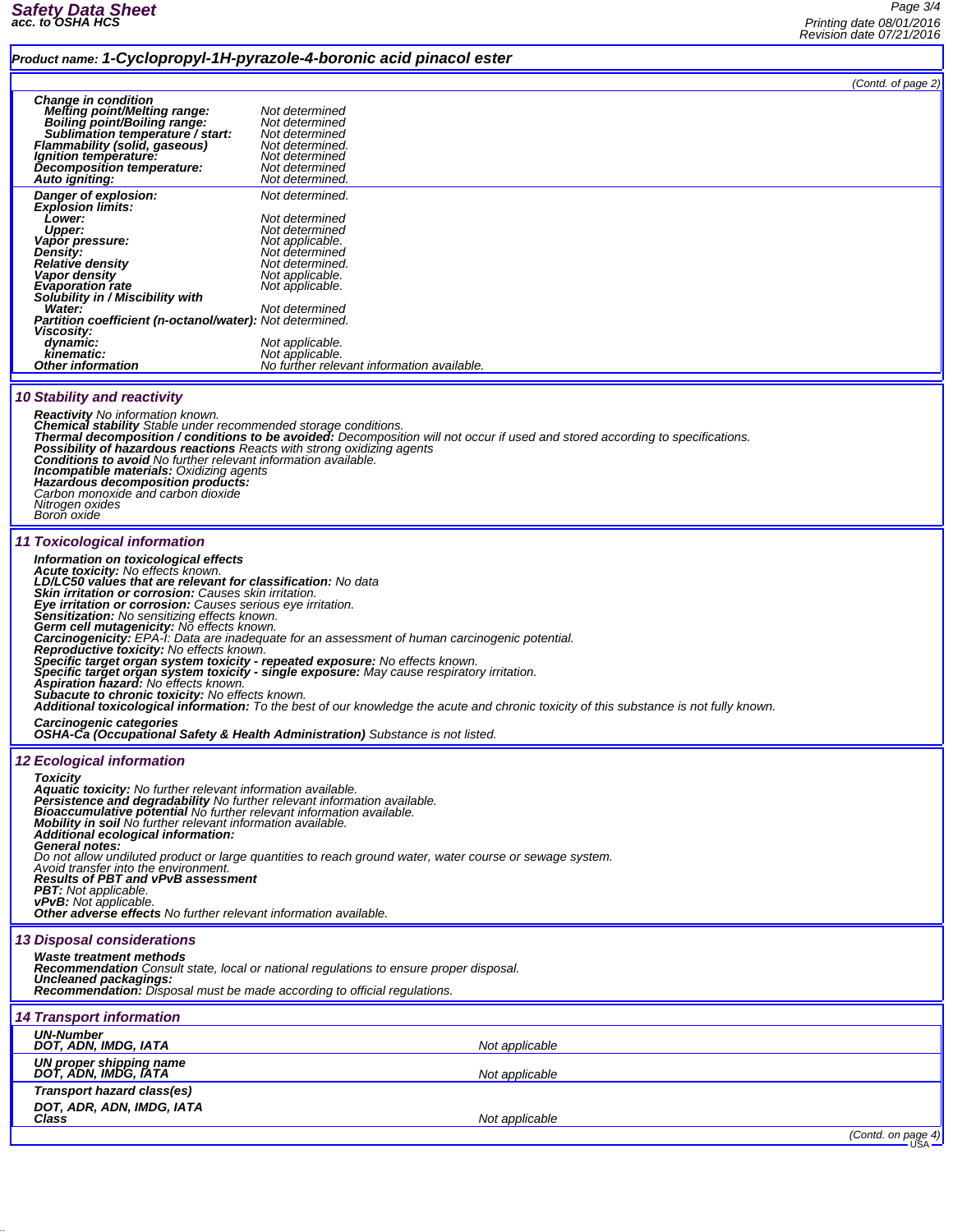## *Product name: 1-Cyclopropyl-1H-pyrazole-4-boronic acid pinacol ester*

*Page 3/4 Printing date 08/01/2016 Revision date 07/21/2016*

|                                                                                                                                                                                                                                                                                                                                                                                                                                                                                                                                                                                                                                                                                                                                                                                                                                                                                                                                                                                                                                                                                                                      |                                                                                                                                                                                                                                                         | (Contd. of page 2) |  |  |
|----------------------------------------------------------------------------------------------------------------------------------------------------------------------------------------------------------------------------------------------------------------------------------------------------------------------------------------------------------------------------------------------------------------------------------------------------------------------------------------------------------------------------------------------------------------------------------------------------------------------------------------------------------------------------------------------------------------------------------------------------------------------------------------------------------------------------------------------------------------------------------------------------------------------------------------------------------------------------------------------------------------------------------------------------------------------------------------------------------------------|---------------------------------------------------------------------------------------------------------------------------------------------------------------------------------------------------------------------------------------------------------|--------------------|--|--|
| <b>Change in condition</b><br><b>Melting point/Melting range:</b><br>Boiling point/Boiling range:<br>Sublimation temperature / start:<br>Flammability (solid, gaseous)<br>Ignition temperature:<br>Decomposition temperature:<br>Auto igniting:                                                                                                                                                                                                                                                                                                                                                                                                                                                                                                                                                                                                                                                                                                                                                                                                                                                                      | Not determined<br>Not determined<br>Not determined<br>Not determined.<br>Not determined<br>Not determined<br>Not determined.                                                                                                                            |                    |  |  |
| Danger of explosion:<br><b>Explosion limits:</b><br>Lower:<br><b>Upper:</b><br>Vapor pressure:<br><b>Density:</b><br><b>Relative density</b><br>Vapor density<br>Evaporation rate<br>Solubility in / Miscibility with<br>Water:<br><b>Partition coefficient (n-octanol/water): Not determined.</b><br>Viscosity:<br>dynamic:<br>kinematic:<br><b>Other information</b>                                                                                                                                                                                                                                                                                                                                                                                                                                                                                                                                                                                                                                                                                                                                               | Not determined.<br>Not determined<br>Not determined<br>Not applicable.<br>Not determined<br>Not determined.<br>Not applicable.<br>Not applicable.<br>Not determined<br>Not applicable.<br>Not applicable.<br>No further relevant information available. |                    |  |  |
| <b>10 Stability and reactivity</b><br><b>Reactivity</b> No information known.<br>Chemical stability Stable under recommended storage conditions.<br><b>Thermal decomposition / conditions to be avoided:</b> Decomposition will not occur if used and stored according to specifications.<br>Possibility of hazardous reactions Reacts with strong oxidizing agents<br><b>Conditions to avoid</b> No further relevant information available.<br><b>Incompatible materials: Oxidizing agents</b><br>Hazardous decomposition products:<br>Carbon monoxide and carbon dioxide<br>Nitrogen oxides<br>Boron oxide                                                                                                                                                                                                                                                                                                                                                                                                                                                                                                         |                                                                                                                                                                                                                                                         |                    |  |  |
| 11 Toxicological information<br>Information on toxicological effects<br><b>Acute toxicity:</b> No effects known.<br>LD/LC50 values that are relevant for classification: No data<br><b>Skin irritation or corrosion:</b> Causes skin irritation.<br>Eye irritation or corrosion: Causes serious eye irritation.<br>Sensitization: No sensitizing effects known.<br>Germ cell mutagenicity: No effects known.<br>Carcinogenicity: EPA-1: Data are inadequate for an assessment of human carcinogenic potential.<br>Reproductive toxicity: No effects known.<br>Specific target organ system toxicity - repeated exposure: No effects known.<br>Specific target organ system toxicity - single exposure: May cause respiratory irritation.<br><b>Aspiration hazard:</b> No effects known.<br>Subacute to chronic toxicity: No effects known.<br><b>Additional toxicological information:</b> To the best of our knowledge the acute and chronic toxicity of this substance is not fully known.<br>Carcinogenic categories<br><b>OSHA-Ca (Occupational Safety &amp; Health Administration)</b> Substance is not listed. |                                                                                                                                                                                                                                                         |                    |  |  |
| <b>12 Ecological information</b><br><b>Toxicity</b><br>Aquatic toxicity: No further relevant information available.<br>Persistence and degradability No further relevant information available.<br>Bioaccumulative potential No further relevant information available.<br><b>Mobility in soil</b> No further relevant information available.<br>Additional ecological information:<br>General notes:<br>Do not allow undiluted product or large quantities to reach ground water, water course or sewage system.<br>Avoid transfer into the environment.<br><b>Results of PBT and vPvB assessment</b><br><b>PBT:</b> Not applicable.<br><b>vPvB:</b> Not applicable.<br><b>Other adverse effects</b> No further relevant information available.                                                                                                                                                                                                                                                                                                                                                                     |                                                                                                                                                                                                                                                         |                    |  |  |
| <b>13 Disposal considerations</b><br>Waste treatment methods<br>Recommendation Consult state, local or national regulations to ensure proper disposal.<br><b>Uncleaned packagings:</b><br><b>Recommendation:</b> Disposal must be made according to official regulations.                                                                                                                                                                                                                                                                                                                                                                                                                                                                                                                                                                                                                                                                                                                                                                                                                                            |                                                                                                                                                                                                                                                         |                    |  |  |
| <b>14 Transport information</b>                                                                                                                                                                                                                                                                                                                                                                                                                                                                                                                                                                                                                                                                                                                                                                                                                                                                                                                                                                                                                                                                                      |                                                                                                                                                                                                                                                         |                    |  |  |
| <b>UN-Number</b><br>DOT, ADN, IMDG, IATA                                                                                                                                                                                                                                                                                                                                                                                                                                                                                                                                                                                                                                                                                                                                                                                                                                                                                                                                                                                                                                                                             | Not applicable                                                                                                                                                                                                                                          |                    |  |  |
| UN proper shipping name                                                                                                                                                                                                                                                                                                                                                                                                                                                                                                                                                                                                                                                                                                                                                                                                                                                                                                                                                                                                                                                                                              |                                                                                                                                                                                                                                                         |                    |  |  |
| DOT, ADN, IMDG, IATA<br>Transport hazard class(es)<br>DOT, ADR, ADN, IMDG, IATA                                                                                                                                                                                                                                                                                                                                                                                                                                                                                                                                                                                                                                                                                                                                                                                                                                                                                                                                                                                                                                      | Not applicable                                                                                                                                                                                                                                          |                    |  |  |
| Class                                                                                                                                                                                                                                                                                                                                                                                                                                                                                                                                                                                                                                                                                                                                                                                                                                                                                                                                                                                                                                                                                                                | Not applicable                                                                                                                                                                                                                                          |                    |  |  |

*(Contd. on page 4)*